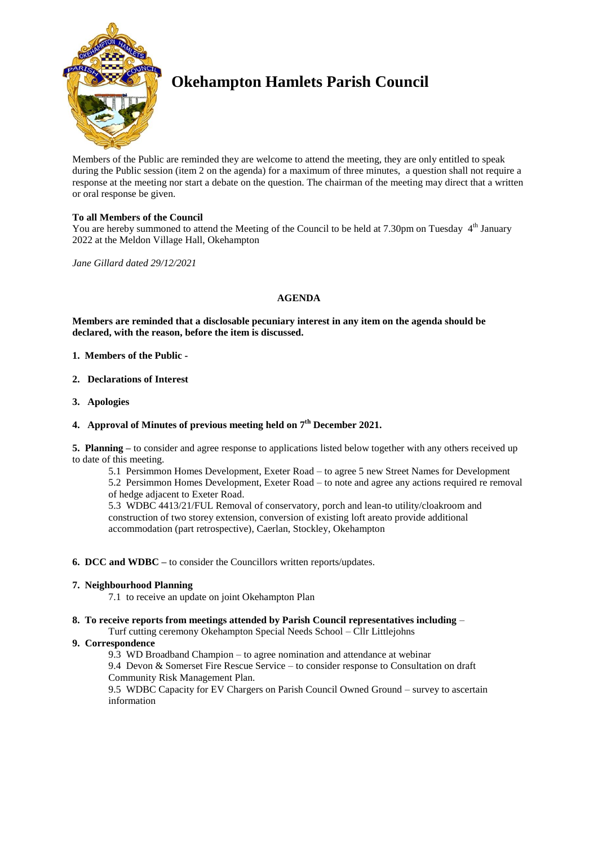

# **Okehampton Hamlets Parish Council**

Members of the Public are reminded they are welcome to attend the meeting, they are only entitled to speak during the Public session (item 2 on the agenda) for a maximum of three minutes, a question shall not require a response at the meeting nor start a debate on the question. The chairman of the meeting may direct that a written or oral response be given.

# **To all Members of the Council**

You are hereby summoned to attend the Meeting of the Council to be held at 7.30pm on Tuesday 4<sup>th</sup> January 2022 at the Meldon Village Hall, Okehampton

*Jane Gillard dated 29/12/2021*

# **AGENDA**

**Members are reminded that a disclosable pecuniary interest in any item on the agenda should be declared, with the reason, before the item is discussed.** 

- **1. Members of the Public -**
- **2. Declarations of Interest**
- **3. Apologies**

# **4. Approval of Minutes of previous meeting held on 7 th December 2021.**

**5. Planning –** to consider and agree response to applications listed below together with any others received up to date of this meeting.

5.1 Persimmon Homes Development, Exeter Road – to agree 5 new Street Names for Development

5.2 Persimmon Homes Development, Exeter Road – to note and agree any actions required re removal of hedge adjacent to Exeter Road.

5.3 WDBC 4413/21/FUL Removal of conservatory, porch and lean-to utility/cloakroom and construction of two storey extension, conversion of existing loft areato provide additional accommodation (part retrospective), Caerlan, Stockley, Okehampton

#### **6. DCC and WDBC –** to consider the Councillors written reports/updates.

#### **7. Neighbourhood Planning**

7.1 to receive an update on joint Okehampton Plan

# **8. To receive reports from meetings attended by Parish Council representatives including** –

Turf cutting ceremony Okehampton Special Needs School – Cllr Littlejohns

# **9. Correspondence**

9.3 WD Broadband Champion – to agree nomination and attendance at webinar

9.4 Devon & Somerset Fire Rescue Service – to consider response to Consultation on draft Community Risk Management Plan.

9.5 WDBC Capacity for EV Chargers on Parish Council Owned Ground – survey to ascertain information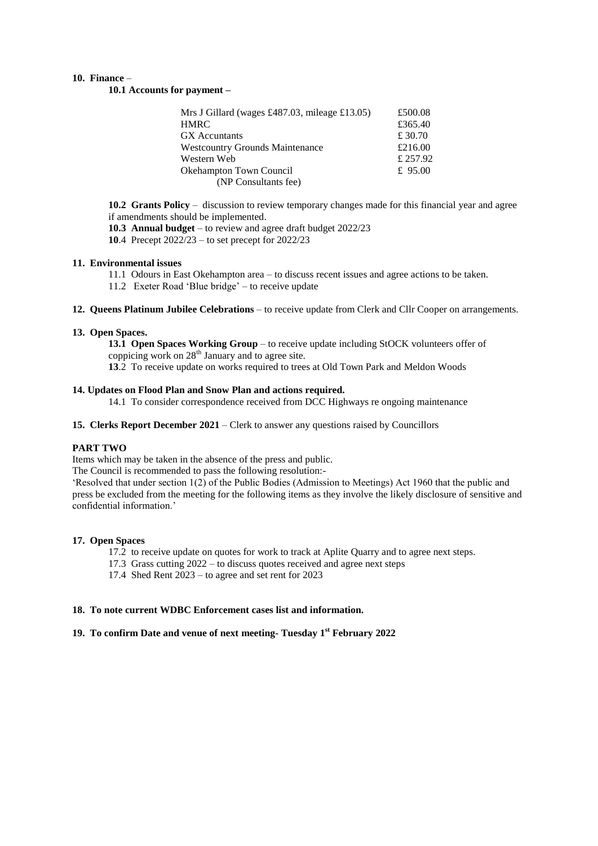#### **10. Finance** –

**10.1 Accounts for payment –**

| Mrs J Gillard (wages £487.03, mileage £13.05) | £500.08   |
|-----------------------------------------------|-----------|
| <b>HMRC</b>                                   | £365.40   |
| <b>GX</b> Accuntants                          | £ 30.70   |
| <b>Westcountry Grounds Maintenance</b>        | £216.00   |
| Western Web                                   | £ 257.92  |
| <b>Okehampton Town Council</b>                | £ $95.00$ |
| (NP Consultants fee)                          |           |

**10.2 Grants Policy** – discussion to review temporary changes made for this financial year and agree if amendments should be implemented.

**10.3 Annual budget** – to review and agree draft budget 2022/23

**10**.4 Precept 2022/23 – to set precept for 2022/23

#### **11. Environmental issues**

11.1 Odours in East Okehampton area – to discuss recent issues and agree actions to be taken.

11.2 Exeter Road 'Blue bridge' – to receive update

**12. Queens Platinum Jubilee Celebrations** – to receive update from Clerk and Cllr Cooper on arrangements.

#### **13. Open Spaces.**

**13.1 Open Spaces Working Group** – to receive update including StOCK volunteers offer of coppicing work on  $28<sup>th</sup>$  January and to agree site.

**13**.2 To receive update on works required to trees at Old Town Park and Meldon Woods

# **14. Updates on Flood Plan and Snow Plan and actions required.**

14.1 To consider correspondence received from DCC Highways re ongoing maintenance

**15. Clerks Report December 2021** – Clerk to answer any questions raised by Councillors

# **PART TWO**

Items which may be taken in the absence of the press and public.

The Council is recommended to pass the following resolution:-

'Resolved that under section 1(2) of the Public Bodies (Admission to Meetings) Act 1960 that the public and press be excluded from the meeting for the following items as they involve the likely disclosure of sensitive and confidential information.'

#### **17. Open Spaces**

- 17.2 to receive update on quotes for work to track at Aplite Quarry and to agree next steps.
- 17.3 Grass cutting 2022 to discuss quotes received and agree next steps
- 17.4 Shed Rent 2023 to agree and set rent for 2023

# **18. To note current WDBC Enforcement cases list and information.**

# **19. To confirm Date and venue of next meeting- Tuesday 1 st February 2022**